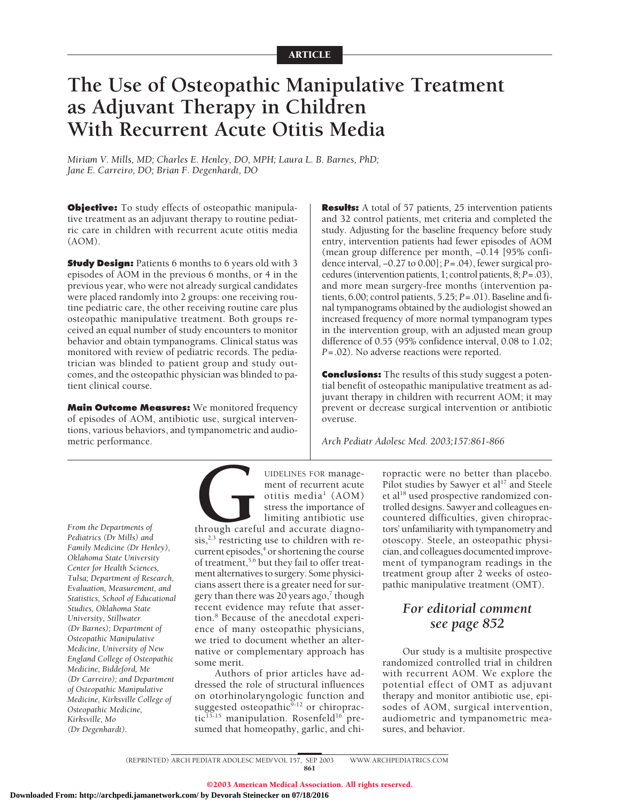# **The Use of Osteopathic Manipulative Treatment as Adjuvant Therapy in Children With Recurrent Acute Otitis Media**

*Miriam V. Mills, MD; Charles E. Henley, DO, MPH; Laura L. B. Barnes, PhD; Jane E. Carreiro, DO; Brian F. Degenhardt, DO*

**Objective:** To study effects of osteopathic manipulative treatment as an adjuvant therapy to routine pediatric care in children with recurrent acute otitis media (AOM).

**Study Design:** Patients 6 months to 6 years old with 3 episodes of AOM in the previous 6 months, or 4 in the previous year, who were not already surgical candidates were placed randomly into 2 groups: one receiving routine pediatric care, the other receiving routine care plus osteopathic manipulative treatment. Both groups received an equal number of study encounters to monitor behavior and obtain tympanograms. Clinical status was monitored with review of pediatric records. The pediatrician was blinded to patient group and study outcomes, and the osteopathic physician was blinded to patient clinical course.

**Main Outcome Measures:** We monitored frequency of episodes of AOM, antibiotic use, surgical interventions, various behaviors, and tympanometric and audiometric performance.

**Results:** A total of 57 patients, 25 intervention patients and 32 control patients, met criteria and completed the study. Adjusting for the baseline frequency before study entry, intervention patients had fewer episodes of AOM (mean group difference per month, −0.14 [95% confidence interval, −0.27 to 0.00]; *P*=.04), fewer surgical procedures (intervention patients, 1; control patients, 8;*P*=.03), and more mean surgery-free months (intervention patients, 6.00; control patients, 5.25; *P*=.01). Baseline and final tympanograms obtained by the audiologist showed an increased frequency of more normal tympanogram types in the intervention group, with an adjusted mean group difference of 0.55 (95% confidence interval, 0.08 to 1.02; *P*=.02). No adverse reactions were reported.

**Conclusions:** The results of this study suggest a potential benefit of osteopathic manipulative treatment as adjuvant therapy in children with recurrent AOM; it may prevent or decrease surgical intervention or antibiotic overuse.

*Arch Pediatr Adolesc Med. 2003;157:861-866*

*From the Departments of Pediatrics (Dr Mills) and Family Medicine (Dr Henley), Oklahoma State University Center for Health Sciences, Tulsa; Department of Research, Evaluation, Measurement, and Statistics, School of Educational Studies, Oklahoma State University, Stillwater (Dr Barnes); Department of Osteopathic Manipulative Medicine, University of New England College of Osteopathic Medicine, Biddeford, Me (Dr Carreiro); and Department of Osteopathic Manipulative Medicine, Kirksville College of Osteopathic Medicine, Kirksville, Mo (Dr Degenhardt).*

UIDELINES FOR manage-<br>
ment of recurrent acute<br>
otitis media<sup>1</sup> (AOM)<br>
stress the importance of<br>
limiting antibiotic use<br>
through careful and accurate diagno-<br>
sis,<sup>2,3</sup> restricting use to children with rement of recurrent acute otitis media<sup>1</sup> (AOM) stress the importance of limiting antibiotic use through careful and accurate diagno $sis, <sup>2,3</sup>$  restricting use to children with recurrent episodes,<sup>4</sup> or shortening the course of treatment,<sup>5,6</sup> but they fail to offer treatment alternatives to surgery. Some physicicians assert there is a greater need for surgery than there was 20 years ago, $7$  though recent evidence may refute that assertion.8 Because of the anecdotal experience of many osteopathic physicians, we tried to document whether an alternative or complementary approach has some merit.

Authors of prior articles have addressed the role of structural influences on otorhinolaryngologic function and suggested osteopathic $9-12$  or chiropractic<sup>13-15</sup> manipulation. Rosenfeld<sup>16</sup> presumed that homeopathy, garlic, and chiropractic were no better than placebo. Pilot studies by Sawyer et al<sup>17</sup> and Steele et al<sup>18</sup> used prospective randomized controlled designs. Sawyer and colleagues encountered difficulties, given chiropractors' unfamiliarity with tympanometry and otoscopy. Steele, an osteopathic physician, and colleagues documented improvement of tympanogram readings in the treatment group after 2 weeks of osteopathic manipulative treatment (OMT).

# *For editorial comment see page 852*

Our study is a multisite prospective randomized controlled trial in children with recurrent AOM. We explore the potential effect of OMT as adjuvant therapy and monitor antibiotic use, episodes of AOM, surgical intervention, audiometric and tympanometric measures, and behavior.

(REPRINTED) ARCH PEDIATR ADOLESC MED/ VOL 157, SEP 2003 WWW.ARCHPEDIATRICS.COM 861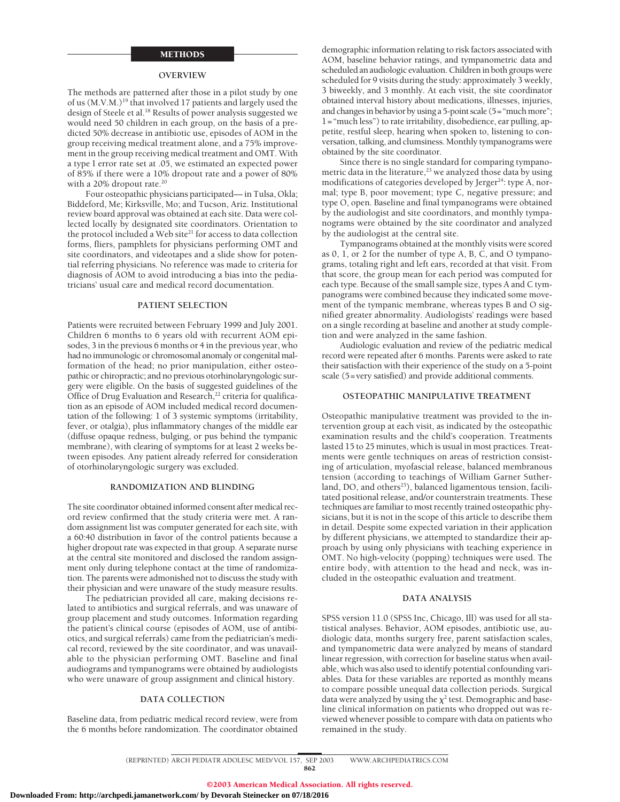### METHODS

#### **OVERVIEW**

The methods are patterned after those in a pilot study by one of us (M.V.M.)<sup>19</sup> that involved 17 patients and largely used the design of Steele et al.<sup>18</sup> Results of power analysis suggested we would need 50 children in each group, on the basis of a predicted 50% decrease in antibiotic use, episodes of AOM in the group receiving medical treatment alone, and a 75% improvement in the group receiving medical treatment and OMT. With a type I error rate set at .05, we estimated an expected power of 85% if there were a 10% dropout rate and a power of 80% with a 20% dropout rate.<sup>20</sup>

Four osteopathic physicians participated— in Tulsa, Okla; Biddeford, Me; Kirksville, Mo; and Tucson, Ariz. Institutional review board approval was obtained at each site. Data were collected locally by designated site coordinators. Orientation to the protocol included a Web site $21$  for access to data collection forms, fliers, pamphlets for physicians performing OMT and site coordinators, and videotapes and a slide show for potential referring physicians. No reference was made to criteria for diagnosis of AOM to avoid introducing a bias into the pediatricians' usual care and medical record documentation.

#### **PATIENT SELECTION**

Patients were recruited between February 1999 and July 2001. Children 6 months to 6 years old with recurrent AOM episodes, 3 in the previous 6 months or 4 in the previous year, who had no immunologic or chromosomal anomaly or congenital malformation of the head; no prior manipulation, either osteopathic or chiropractic; and no previous otorhinolaryngologic surgery were eligible. On the basis of suggested guidelines of the Office of Drug Evaluation and Research,<sup>22</sup> criteria for qualification as an episode of AOM included medical record documentation of the following: 1 of 3 systemic symptoms (irritability, fever, or otalgia), plus inflammatory changes of the middle ear (diffuse opaque redness, bulging, or pus behind the tympanic membrane), with clearing of symptoms for at least 2 weeks between episodes. Any patient already referred for consideration of otorhinolaryngologic surgery was excluded.

#### **RANDOMIZATION AND BLINDING**

The site coordinator obtained informed consent after medical record review confirmed that the study criteria were met. A random assignment list was computer generated for each site, with a 60:40 distribution in favor of the control patients because a higher dropout rate was expected in that group. A separate nurse at the central site monitored and disclosed the random assignment only during telephone contact at the time of randomization. The parents were admonished not to discuss the study with their physician and were unaware of the study measure results.

The pediatrician provided all care, making decisions related to antibiotics and surgical referrals, and was unaware of group placement and study outcomes. Information regarding the patient's clinical course (episodes of AOM, use of antibiotics, and surgical referrals) came from the pediatrician's medical record, reviewed by the site coordinator, and was unavailable to the physician performing OMT. Baseline and final audiograms and tympanograms were obtained by audiologists who were unaware of group assignment and clinical history.

#### **DATA COLLECTION**

Baseline data, from pediatric medical record review, were from the 6 months before randomization. The coordinator obtained

demographic information relating to risk factors associated with AOM, baseline behavior ratings, and tympanometric data and scheduled an audiologic evaluation. Children in both groups were scheduled for 9 visits during the study: approximately 3 weekly, 3 biweekly, and 3 monthly. At each visit, the site coordinator obtained interval history about medications, illnesses, injuries, and changes in behavior by using a 5-point scale (5="much more"; 1="much less") to rate irritability, disobedience, ear pulling, appetite, restful sleep, hearing when spoken to, listening to conversation, talking, and clumsiness. Monthly tympanograms were obtained by the site coordinator.

Since there is no single standard for comparing tympanometric data in the literature,<sup>23</sup> we analyzed those data by using modifications of categories developed by Jerger<sup>24</sup>: type A, normal; type B, poor movement; type C, negative pressure; and type O, open. Baseline and final tympanograms were obtained by the audiologist and site coordinators, and monthly tympanograms were obtained by the site coordinator and analyzed by the audiologist at the central site.

Tympanograms obtained at the monthly visits were scored as 0, 1, or 2 for the number of type A, B, C, and O tympanograms, totaling right and left ears, recorded at that visit. From that score, the group mean for each period was computed for each type. Because of the small sample size, types A and C tympanograms were combined because they indicated some movement of the tympanic membrane, whereas types B and O signified greater abnormality. Audiologists' readings were based on a single recording at baseline and another at study completion and were analyzed in the same fashion.

Audiologic evaluation and review of the pediatric medical record were repeated after 6 months. Parents were asked to rate their satisfaction with their experience of the study on a 5-point scale (5=very satisfied) and provide additional comments.

#### **OSTEOPATHIC MANIPULATIVE TREATMENT**

Osteopathic manipulative treatment was provided to the intervention group at each visit, as indicated by the osteopathic examination results and the child's cooperation. Treatments lasted 15 to 25 minutes, which is usual in most practices. Treatments were gentle techniques on areas of restriction consisting of articulation, myofascial release, balanced membranous tension (according to teachings of William Garner Sutherland, DO, and others<sup>25</sup>), balanced ligamentous tension, facilitated positional release, and/or counterstrain treatments. These techniques are familiar to most recently trained osteopathic physicians, but it is not in the scope of this article to describe them in detail. Despite some expected variation in their application by different physicians, we attempted to standardize their approach by using only physicians with teaching experience in OMT. No high-velocity (popping) techniques were used. The entire body, with attention to the head and neck, was included in the osteopathic evaluation and treatment.

#### **DATA ANALYSIS**

SPSS version 11.0 (SPSS Inc, Chicago, Ill) was used for all statistical analyses. Behavior, AOM episodes, antibiotic use, audiologic data, months surgery free, parent satisfaction scales, and tympanometric data were analyzed by means of standard linear regression, with correction for baseline status when available, which was also used to identify potential confounding variables. Data for these variables are reported as monthly means to compare possible unequal data collection periods. Surgical data were analyzed by using the  $\chi^2$  test. Demographic and baseline clinical information on patients who dropped out was reviewed whenever possible to compare with data on patients who remained in the study.

(REPRINTED) ARCH PEDIATR ADOLESC MED/ VOL 157, SEP 2003 WWW.ARCHPEDIATRICS.COM 862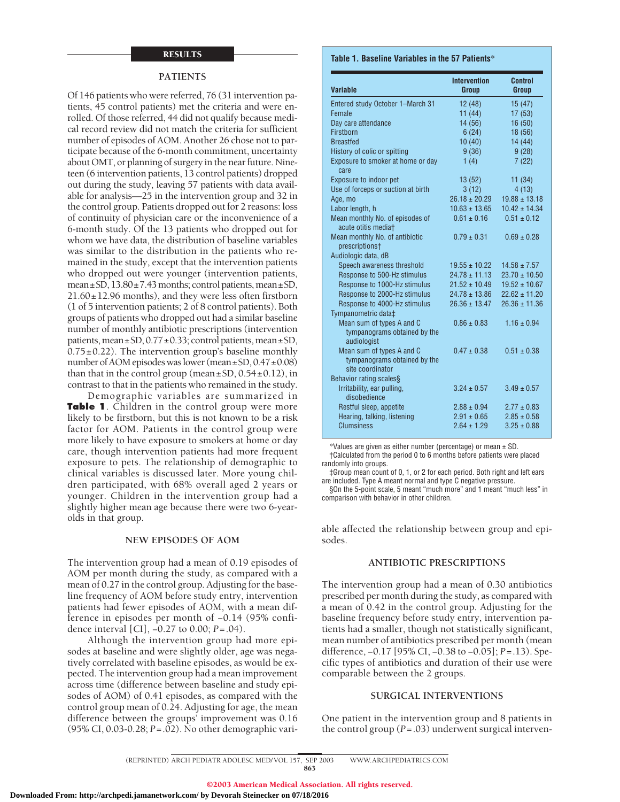# RESULTS

### **PATIENTS**

Of 146 patients who were referred, 76 (31 intervention patients, 45 control patients) met the criteria and were enrolled. Of those referred, 44 did not qualify because medical record review did not match the criteria for sufficient number of episodes of AOM. Another 26 chose not to participate because of the 6-month commitment, uncertainty about OMT, or planning of surgery in the near future. Nineteen (6 intervention patients, 13 control patients) dropped out during the study, leaving 57 patients with data available for analysis—25 in the intervention group and 32 in the control group. Patients dropped out for 2 reasons: loss of continuity of physician care or the inconvenience of a 6-month study. Of the 13 patients who dropped out for whom we have data, the distribution of baseline variables was similar to the distribution in the patients who remained in the study, except that the intervention patients who dropped out were younger (intervention patients, mean $\pm$ SD, 13.80 $\pm$ 7.43 months; control patients, mean $\pm$ SD, 21.60±12.96 months), and they were less often firstborn (1 of 5 intervention patients; 2 of 8 control patients). Both groups of patients who dropped out had a similar baseline number of monthly antibiotic prescriptions (intervention patients, mean±SD, 0.77±0.33; control patients, mean±SD,  $0.75\pm0.22$ ). The intervention group's baseline monthly number of AOM episodes was lower (mean $\pm$ SD, 0.47 $\pm$ 0.08) than that in the control group (mean $\pm$ SD, 0.54 $\pm$ 0.12), in contrast to that in the patients who remained in the study.

Demographic variables are summarized in **Table 1**. Children in the control group were more likely to be firstborn, but this is not known to be a risk factor for AOM. Patients in the control group were more likely to have exposure to smokers at home or day care, though intervention patients had more frequent exposure to pets. The relationship of demographic to clinical variables is discussed later. More young children participated, with 68% overall aged 2 years or younger. Children in the intervention group had a slightly higher mean age because there were two 6-yearolds in that group.

#### **NEW EPISODES OF AOM**

The intervention group had a mean of 0.19 episodes of AOM per month during the study, as compared with a mean of 0.27 in the control group. Adjusting for the baseline frequency of AOM before study entry, intervention patients had fewer episodes of AOM, with a mean difference in episodes per month of −0.14 (95% confidence interval [CI], −0.27 to 0.00; *P*=.04).

Although the intervention group had more episodes at baseline and were slightly older, age was negatively correlated with baseline episodes, as would be expected. The intervention group had a mean improvement across time (difference between baseline and study episodes of AOM) of 0.41 episodes, as compared with the control group mean of 0.24. Adjusting for age, the mean difference between the groups' improvement was 0.16 (95% CI, 0.03-0.28; *P*=.02). No other demographic vari-

#### **Table 1. Baseline Variables in the 57 Patients**\*

| Group             | Control<br>Group                                           |
|-------------------|------------------------------------------------------------|
| 12(48)            | 15(47)                                                     |
|                   | 17(53)                                                     |
|                   | 16(50)                                                     |
|                   | 18 (56)                                                    |
| 10(40)            | 14(44)                                                     |
|                   | 9(28)                                                      |
| 1(4)              | 7(22)                                                      |
| 13(52)            | 11(34)                                                     |
| 3(12)             | 4(13)                                                      |
| $26.18 \pm 20.29$ | $19.88 \pm 13.18$                                          |
| $10.63 \pm 13.65$ | $10.42 \pm 14.34$                                          |
| $0.61 \pm 0.16$   | $0.51 \pm 0.12$                                            |
| $0.79 \pm 0.31$   | $0.69 \pm 0.28$                                            |
|                   |                                                            |
| $19.55 \pm 10.22$ | $14.58 \pm 7.57$                                           |
| $24.78 \pm 11.13$ | $23.70 \pm 10.50$                                          |
| $21.52 \pm 10.49$ | $19.52 \pm 10.67$                                          |
| $24.78 \pm 13.86$ | $22.62 \pm 11.20$                                          |
| $26.36 \pm 13.47$ | $26.36 \pm 11.36$                                          |
| $0.86 \pm 0.83$   | $1.16 \pm 0.94$                                            |
| $0.47 \pm 0.38$   | $0.51 \pm 0.38$                                            |
|                   |                                                            |
| $3.24 \pm 0.57$   | $3.49 \pm 0.57$                                            |
| $2.88 \pm 0.94$   | $2.77 \pm 0.83$                                            |
| $2.91 \pm 0.65$   | $2.85 \pm 0.58$                                            |
| $2.64 \pm 1.29$   | $3.25 \pm 0.88$                                            |
|                   | <b>Intervention</b><br>11(44)<br>14 (56)<br>6(24)<br>9(36) |

\*Values are given as either number (percentage) or mean ± SD.

†Calculated from the period 0 to 6 months before patients were placed randomly into groups.

‡Group mean count of 0, 1, or 2 for each period. Both right and left ears are included. Type A meant normal and type C negative pressure.

§On the 5-point scale, 5 meant "much more" and 1 meant "much less" in comparison with behavior in other children.

able affected the relationship between group and episodes.

# **ANTIBIOTIC PRESCRIPTIONS**

The intervention group had a mean of 0.30 antibiotics prescribed per month during the study, as compared with a mean of 0.42 in the control group. Adjusting for the baseline frequency before study entry, intervention patients had a smaller, though not statistically significant, mean number of antibiotics prescribed per month (mean difference, −0.17 [95% CI, −0.38 to −0.05]; *P*=.13). Specific types of antibiotics and duration of their use were comparable between the 2 groups.

#### **SURGICAL INTERVENTIONS**

One patient in the intervention group and 8 patients in the control group (*P*=.03) underwent surgical interven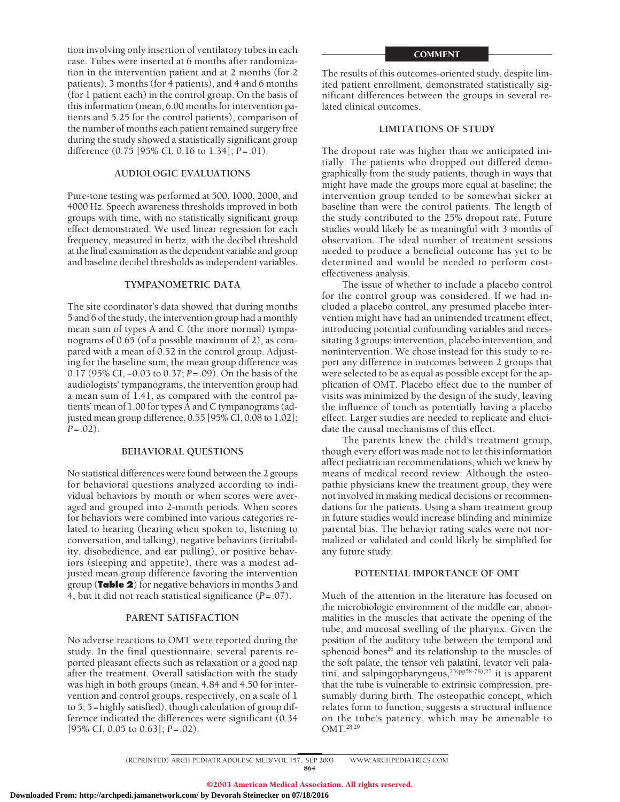tion involving only insertion of ventilatory tubes in each case. Tubes were inserted at 6 months after randomization in the intervention patient and at 2 months (for 2 patients), 3 months (for 4 patients), and 4 and 6 months (for 1 patient each) in the control group. On the basis of this information (mean, 6.00 months for intervention patients and 5.25 for the control patients), comparison of the number of months each patient remained surgery free during the study showed a statistically significant group difference (0.75 [95% CI, 0.16 to 1.34]; *P*=.01).

# **AUDIOLOGIC EVALUATIONS**

Pure-tone testing was performed at 500, 1000, 2000, and 4000 Hz. Speech awareness thresholds improved in both groups with time, with no statistically significant group effect demonstrated. We used linear regression for each frequency, measured in hertz, with the decibel threshold at the final examination as the dependent variable and group and baseline decibel thresholds as independent variables.

# **TYMPANOMETRIC DATA**

The site coordinator's data showed that during months 5 and 6 of the study, the intervention group had a monthly mean sum of types A and C (the more normal) tympanograms of 0.65 (of a possible maximum of 2), as compared with a mean of 0.52 in the control group. Adjusting for the baseline sum, the mean group difference was 0.17 (95% CI, −0.03 to 0.37; *P*=.09). On the basis of the audiologists' tympanograms, the intervention group had a mean sum of 1.41, as compared with the control patients' mean of 1.00 for types A and C tympanograms (adjusted mean group difference, 0.55 [95% CI, 0.08 to 1.02]; *P*=.02).

# **BEHAVIORAL QUESTIONS**

No statistical differences were found between the 2 groups for behavioral questions analyzed according to individual behaviors by month or when scores were averaged and grouped into 2-month periods. When scores for behaviors were combined into various categories related to hearing (hearing when spoken to, listening to conversation, and talking), negative behaviors (irritability, disobedience, and ear pulling), or positive behaviors (sleeping and appetite), there was a modest adjusted mean group difference favoring the intervention group (**Table 2**) for negative behaviors in months 3 and 4, but it did not reach statistical significance (*P*=.07).

# **PARENT SATISFACTION**

No adverse reactions to OMT were reported during the study. In the final questionnaire, several parents reported pleasant effects such as relaxation or a good nap after the treatment. Overall satisfaction with the study was high in both groups (mean, 4.84 and 4.50 for intervention and control groups, respectively, on a scale of 1 to 5; 5=highly satisfied), though calculation of group difference indicated the differences were significant (0.34 [95% CI, 0.05 to 0.63]; *P*=.02).

#### **COMMENT**

The results of this outcomes-oriented study, despite limited patient enrollment, demonstrated statistically significant differences between the groups in several related clinical outcomes.

# **LIMITATIONS OF STUDY**

The dropout rate was higher than we anticipated initially. The patients who dropped out differed demographically from the study patients, though in ways that might have made the groups more equal at baseline; the intervention group tended to be somewhat sicker at baseline than were the control patients. The length of the study contributed to the 25% dropout rate. Future studies would likely be as meaningful with 3 months of observation. The ideal number of treatment sessions needed to produce a beneficial outcome has yet to be determined and would be needed to perform costeffectiveness analysis.

The issue of whether to include a placebo control for the control group was considered. If we had included a placebo control, any presumed placebo intervention might have had an unintended treatment effect, introducing potential confounding variables and necessitating 3 groups: intervention, placebo intervention, and nonintervention. We chose instead for this study to report any difference in outcomes between 2 groups that were selected to be as equal as possible except for the application of OMT. Placebo effect due to the number of visits was minimized by the design of the study, leaving the influence of touch as potentially having a placebo effect. Larger studies are needed to replicate and elucidate the causal mechanisms of this effect.

The parents knew the child's treatment group, though every effort was made not to let this information affect pediatrician recommendations, which we knew by means of medical record review. Although the osteopathic physicians knew the treatment group, they were not involved in making medical decisions or recommendations for the patients. Using a sham treatment group in future studies would increase blinding and minimize parental bias. The behavior rating scales were not normalized or validated and could likely be simplified for any future study.

# **POTENTIAL IMPORTANCE OF OMT**

Much of the attention in the literature has focused on the microbiologic environment of the middle ear, abnormalities in the muscles that activate the opening of the tube, and mucosal swelling of the pharynx. Given the position of the auditory tube between the temporal and sphenoid bones<sup>26</sup> and its relationship to the muscles of the soft palate, the tensor veli palatini, levator veli palatini, and salpingopharyngeus,<sup>23(pp58-78),27</sup> it is apparent that the tube is vulnerable to extrinsic compression, presumably during birth. The osteopathic concept, which relates form to function, suggests a structural influence on the tube's patency, which may be amenable to OMT.28,29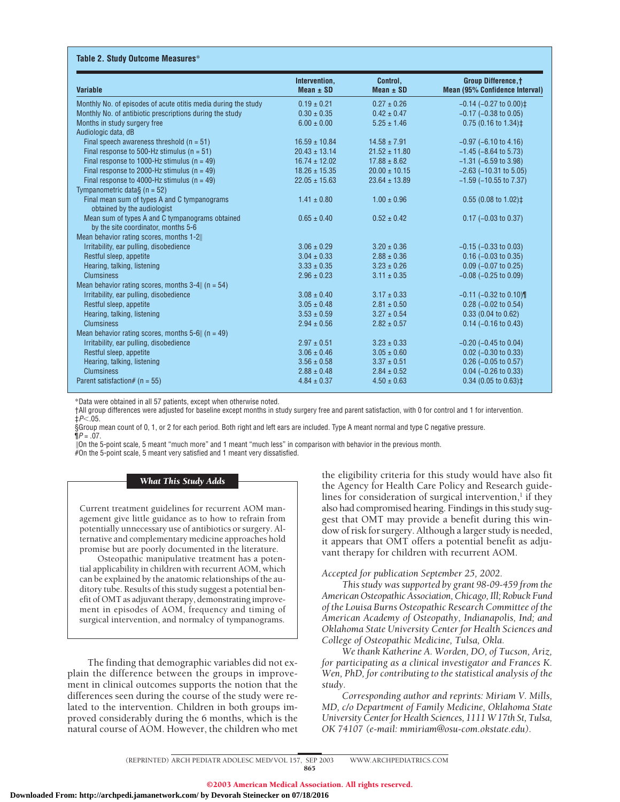| <b>Variable</b>                                                                        | Intervention,<br>Mean $\pm$ SD | Control,<br>Mean $\pm$ SD | <b>Group Difference, †</b><br>Mean (95% Confidence Interval) |
|----------------------------------------------------------------------------------------|--------------------------------|---------------------------|--------------------------------------------------------------|
| Monthly No. of episodes of acute otitis media during the study                         | $0.19 \pm 0.21$                | $0.27 \pm 0.26$           | $-0.14$ ( $-0.27$ to $0.00$ ) ‡                              |
| Monthly No. of antibiotic prescriptions during the study                               | $0.30 \pm 0.35$                | $0.42 \pm 0.47$           | $-0.17$ ( $-0.38$ to 0.05)                                   |
| Months in study surgery free                                                           | $6.00 \pm 0.00$                | $5.25 \pm 1.46$           | $0.75$ (0.16 to 1.34) $\ddagger$                             |
| Audiologic data, dB                                                                    |                                |                           |                                                              |
| Final speech awareness threshold $(n = 51)$                                            | $16.59 \pm 10.84$              | $14.58 \pm 7.91$          | $-0.97$ ( $-6.10$ to 4.16)                                   |
| Final response to 500-Hz stimulus ( $n = 51$ )                                         | $20.43 \pm 13.14$              | $21.52 \pm 11.80$         | $-1.45$ ( $-8.64$ to 5.73)                                   |
| Final response to 1000-Hz stimulus ( $n = 49$ )                                        | $16.74 \pm 12.02$              | $17.88 \pm 8.62$          | $-1.31$ ( $-6.59$ to 3.98)                                   |
| Final response to 2000-Hz stimulus ( $n = 49$ )                                        | $18.26 \pm 15.35$              | $20.00 \pm 10.15$         | $-2.63$ ( $-10.31$ to 5.05)                                  |
| Final response to 4000-Hz stimulus ( $n = 49$ )<br>Tympanometric data§ ( $n = 52$ )    | $22.05 \pm 15.63$              | $23.64 \pm 13.89$         | $-1.59$ ( $-10.55$ to $7.37$ )                               |
| Final mean sum of types A and C tympanograms<br>obtained by the audiologist            | $1.41 \pm 0.80$                | $1.00 \pm 0.96$           | $0.55$ (0.08 to 1.02) $\ddagger$                             |
| Mean sum of types A and C tympanograms obtained<br>by the site coordinator, months 5-6 | $0.65 \pm 0.40$                | $0.52 \pm 0.42$           | $0.17$ (-0.03 to 0.37)                                       |
| Mean behavior rating scores, months 1-2                                                |                                |                           |                                                              |
| Irritability, ear pulling, disobedience                                                | $3.06 \pm 0.29$                | $3.20 \pm 0.36$           | $-0.15$ ( $-0.33$ to 0.03)                                   |
| Restful sleep, appetite                                                                | $3.04 \pm 0.33$                | $2.88 \pm 0.36$           | $0.16$ (-0.03 to 0.35)                                       |
| Hearing, talking, listening                                                            | $3.33 \pm 0.35$                | $3.23 \pm 0.26$           | $0.09$ (-0.07 to 0.25)                                       |
| <b>Clumsiness</b>                                                                      | $2.96 \pm 0.23$                | $3.11 \pm 0.35$           | $-0.08$ ( $-0.25$ to 0.09)                                   |
| Mean behavior rating scores, months $3-4$ (n = 54)                                     |                                |                           |                                                              |
| Irritability, ear pulling, disobedience                                                | $3.08 \pm 0.40$                | $3.17 \pm 0.33$           | $-0.11$ ( $-0.32$ to 0.10)                                   |
| Restful sleep, appetite                                                                | $3.05 \pm 0.48$                | $2.81 \pm 0.50$           | $0.28$ (-0.02 to 0.54)                                       |
| Hearing, talking, listening                                                            | $3.53 \pm 0.59$                | $3.27 \pm 0.54$           | 0.33(0.04 to 0.62)                                           |
| <b>Clumsiness</b>                                                                      | $2.94 \pm 0.56$                | $2.82 \pm 0.57$           | $0.14$ (-0.16 to 0.43)                                       |
| Mean behavior rating scores, months 5-6   $(n = 49)$                                   |                                |                           |                                                              |
| Irritability, ear pulling, disobedience                                                | $2.97 \pm 0.51$                | $3.23 \pm 0.33$           | $-0.20$ ( $-0.45$ to 0.04)                                   |
| Restful sleep, appetite                                                                | $3.06 \pm 0.46$                | $3.05 \pm 0.60$           | $0.02$ (-0.30 to 0.33)                                       |
| Hearing, talking, listening                                                            | $3.56 \pm 0.58$                | $3.37 \pm 0.51$           | $0.26$ (-0.05 to 0.57)                                       |
| <b>Clumsiness</b>                                                                      | $2.88 \pm 0.48$                | $2.84 \pm 0.52$           | $0.04$ (-0.26 to 0.33)                                       |
| Parent satisfaction# ( $n = 55$ )                                                      | $4.84 \pm 0.37$                | $4.50 \pm 0.63$           | $0.34$ (0.05 to 0.63) $\pm$                                  |

\*Data were obtained in all 57 patients, except when otherwise noted.

†All group differences were adjusted for baseline except months in study surgery free and parent satisfaction, with 0 for control and 1 for intervention. ‡*P*-.05.

§Group mean count of 0, 1, or 2 for each period. Both right and left ears are included. Type A meant normal and type C negative pressure.  $\P P = .07$ .

On the 5-point scale, 5 meant "much more" and 1 meant "much less" in comparison with behavior in the previous month. #On the 5-point scale, 5 meant very satisfied and 1 meant very dissatisfied.

### *What This Study Adds*

Current treatment guidelines for recurrent AOM management give little guidance as to how to refrain from potentially unnecessary use of antibiotics or surgery. Alternative and complementary medicine approaches hold promise but are poorly documented in the literature.

Osteopathic manipulative treatment has a potential applicability in children with recurrent AOM, which can be explained by the anatomic relationships of the auditory tube. Results of this study suggest a potential benefit of OMT as adjuvant therapy, demonstrating improvement in episodes of AOM, frequency and timing of surgical intervention, and normalcy of tympanograms.

The finding that demographic variables did not explain the difference between the groups in improvement in clinical outcomes supports the notion that the differences seen during the course of the study were related to the intervention. Children in both groups improved considerably during the 6 months, which is the natural course of AOM. However, the children who met the eligibility criteria for this study would have also fit the Agency for Health Care Policy and Research guidelines for consideration of surgical intervention, $<sup>1</sup>$  if they</sup> also had compromised hearing. Findings in this study suggest that OMT may provide a benefit during this window of risk for surgery. Although a larger study is needed, it appears that OMT offers a potential benefit as adjuvant therapy for children with recurrent AOM.

# *Accepted for publication September 25, 2002.*

*This study was supported by grant 98-09-459 from the American Osteopathic Association, Chicago, Ill; Robuck Fund of the Louisa Burns Osteopathic Research Committee of the American Academy of Osteopathy, Indianapolis, Ind; and Oklahoma State University Center for Health Sciences and College of Osteopathic Medicine, Tulsa, Okla.*

*We thank Katherine A. Worden, DO, of Tucson, Ariz, for participating as a clinical investigator and Frances K. Wen, PhD, for contributing to the statistical analysis of the study.*

*Corresponding author and reprints: Miriam V. Mills, MD, c/o Department of Family Medicine, Oklahoma State University Center for Health Sciences, 1111 W 17th St, Tulsa, OK 74107 (e-mail: mmiriam@osu-com.okstate.edu).*